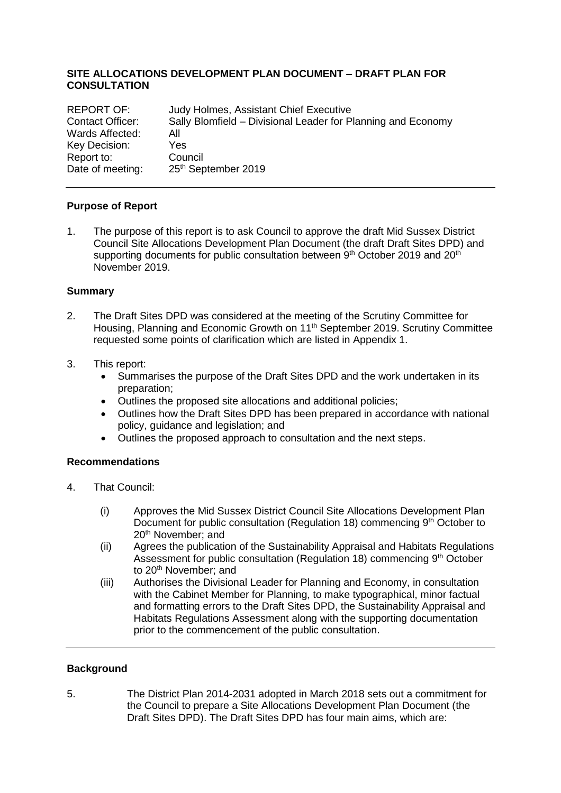## **SITE ALLOCATIONS DEVELOPMENT PLAN DOCUMENT – DRAFT PLAN FOR CONSULTATION**

| <b>REPORT OF:</b> | Judy Holmes, Assistant Chief Executive                       |
|-------------------|--------------------------------------------------------------|
| Contact Officer:  | Sally Blomfield – Divisional Leader for Planning and Economy |
| Wards Affected:   | All                                                          |
| Key Decision:     | Yes.                                                         |
| Report to:        | Council                                                      |
| Date of meeting:  | 25th September 2019                                          |

#### **Purpose of Report**

1. The purpose of this report is to ask Council to approve the draft Mid Sussex District Council Site Allocations Development Plan Document (the draft Draft Sites DPD) and supporting documents for public consultation between 9<sup>th</sup> October 2019 and 20<sup>th</sup> November 2019.

#### **Summary**

- 2. The Draft Sites DPD was considered at the meeting of the Scrutiny Committee for Housing, Planning and Economic Growth on 11<sup>th</sup> September 2019. Scrutiny Committee requested some points of clarification which are listed in Appendix 1.
- 3. This report:
	- Summarises the purpose of the Draft Sites DPD and the work undertaken in its preparation;
	- Outlines the proposed site allocations and additional policies;
	- Outlines how the Draft Sites DPD has been prepared in accordance with national policy, guidance and legislation; and
	- Outlines the proposed approach to consultation and the next steps.

## **Recommendations**

- 4. That Council:
	- (i) Approves the Mid Sussex District Council Site Allocations Development Plan Document for public consultation (Regulation 18) commencing 9<sup>th</sup> October to 20<sup>th</sup> November: and
	- (ii) Agrees the publication of the Sustainability Appraisal and Habitats Regulations Assessment for public consultation (Regulation 18) commencing 9<sup>th</sup> October to 20<sup>th</sup> November; and
	- (iii) Authorises the Divisional Leader for Planning and Economy, in consultation with the Cabinet Member for Planning, to make typographical, minor factual and formatting errors to the Draft Sites DPD, the Sustainability Appraisal and Habitats Regulations Assessment along with the supporting documentation prior to the commencement of the public consultation.

## **Background**

5. The District Plan 2014-2031 adopted in March 2018 sets out a commitment for the Council to prepare a Site Allocations Development Plan Document (the Draft Sites DPD). The Draft Sites DPD has four main aims, which are: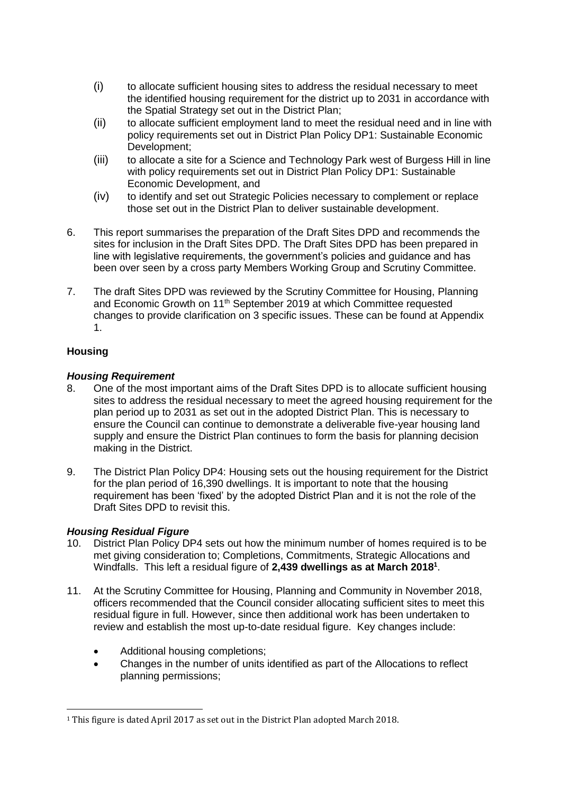- (i) to allocate sufficient housing sites to address the residual necessary to meet the identified housing requirement for the district up to 2031 in accordance with the Spatial Strategy set out in the District Plan;
- (ii) to allocate sufficient employment land to meet the residual need and in line with policy requirements set out in District Plan Policy DP1: Sustainable Economic Development;
- (iii) to allocate a site for a Science and Technology Park west of Burgess Hill in line with policy requirements set out in District Plan Policy DP1: Sustainable Economic Development, and
- (iv) to identify and set out Strategic Policies necessary to complement or replace those set out in the District Plan to deliver sustainable development.
- 6. This report summarises the preparation of the Draft Sites DPD and recommends the sites for inclusion in the Draft Sites DPD. The Draft Sites DPD has been prepared in line with legislative requirements, the government's policies and guidance and has been over seen by a cross party Members Working Group and Scrutiny Committee.
- 7. The draft Sites DPD was reviewed by the Scrutiny Committee for Housing, Planning and Economic Growth on 11<sup>th</sup> September 2019 at which Committee requested changes to provide clarification on 3 specific issues. These can be found at Appendix 1.

## **Housing**

 $\overline{a}$ 

## *Housing Requirement*

- 8. One of the most important aims of the Draft Sites DPD is to allocate sufficient housing sites to address the residual necessary to meet the agreed housing requirement for the plan period up to 2031 as set out in the adopted District Plan. This is necessary to ensure the Council can continue to demonstrate a deliverable five-year housing land supply and ensure the District Plan continues to form the basis for planning decision making in the District.
- 9. The District Plan Policy DP4: Housing sets out the housing requirement for the District for the plan period of 16,390 dwellings. It is important to note that the housing requirement has been 'fixed' by the adopted District Plan and it is not the role of the Draft Sites DPD to revisit this.

## *Housing Residual Figure*

- 10. District Plan Policy DP4 sets out how the minimum number of homes required is to be met giving consideration to; Completions, Commitments, Strategic Allocations and Windfalls. This left a residual figure of **2,439 dwellings as at March 2018<sup>1</sup>** .
- 11. At the Scrutiny Committee for Housing, Planning and Community in November 2018, officers recommended that the Council consider allocating sufficient sites to meet this residual figure in full. However, since then additional work has been undertaken to review and establish the most up-to-date residual figure. Key changes include:
	- Additional housing completions;
	- Changes in the number of units identified as part of the Allocations to reflect planning permissions;

<sup>1</sup> This figure is dated April 2017 as set out in the District Plan adopted March 2018.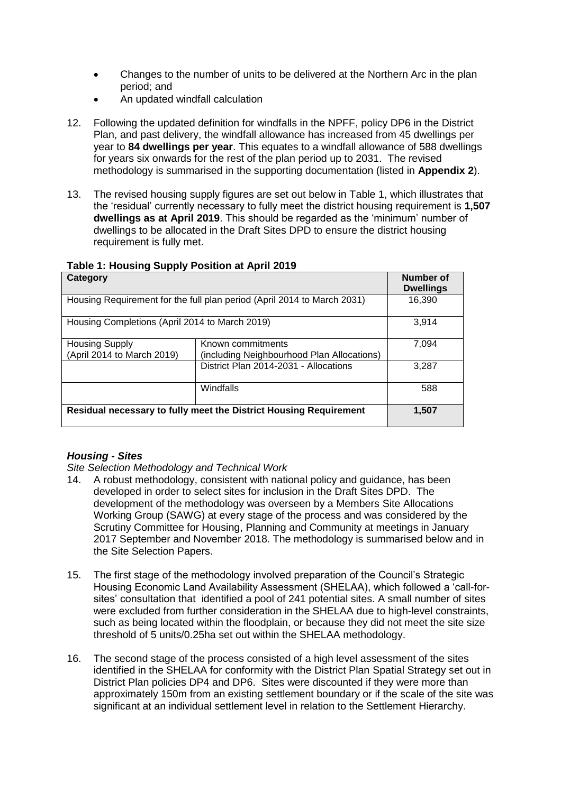- Changes to the number of units to be delivered at the Northern Arc in the plan period; and
- An updated windfall calculation
- 12. Following the updated definition for windfalls in the NPFF, policy DP6 in the District Plan, and past delivery, the windfall allowance has increased from 45 dwellings per year to **84 dwellings per year**. This equates to a windfall allowance of 588 dwellings for years six onwards for the rest of the plan period up to 2031. The revised methodology is summarised in the supporting documentation (listed in **Appendix 2**).
- 13. The revised housing supply figures are set out below in Table 1, which illustrates that the 'residual' currently necessary to fully meet the district housing requirement is **1,507 dwellings as at April 2019**. This should be regarded as the 'minimum' number of dwellings to be allocated in the Draft Sites DPD to ensure the district housing requirement is fully met.

| .<br>Category                                                           | Number of<br><b>Dwellings</b>         |       |
|-------------------------------------------------------------------------|---------------------------------------|-------|
| Housing Requirement for the full plan period (April 2014 to March 2031) | 16.390                                |       |
| Housing Completions (April 2014 to March 2019)                          | 3.914                                 |       |
| <b>Housing Supply</b><br>(April 2014 to March 2019)                     | 7.094                                 |       |
|                                                                         | District Plan 2014-2031 - Allocations | 3.287 |
|                                                                         | Windfalls                             | 588   |
| Residual necessary to fully meet the District Housing Requirement       | 1,507                                 |       |

#### **Table 1: Housing Supply Position at April 2019**

## *Housing - Sites*

*Site Selection Methodology and Technical Work*

- 14. A robust methodology, consistent with national policy and guidance, has been developed in order to select sites for inclusion in the Draft Sites DPD. The development of the methodology was overseen by a Members Site Allocations Working Group (SAWG) at every stage of the process and was considered by the Scrutiny Committee for Housing, Planning and Community at meetings in January 2017 September and November 2018. The methodology is summarised below and in the Site Selection Papers.
- 15. The first stage of the methodology involved preparation of the Council's Strategic Housing Economic Land Availability Assessment (SHELAA), which followed a 'call-forsites' consultation that identified a pool of 241 potential sites. A small number of sites were excluded from further consideration in the SHELAA due to high-level constraints, such as being located within the floodplain, or because they did not meet the site size threshold of 5 units/0.25ha set out within the SHELAA methodology.
- 16. The second stage of the process consisted of a high level assessment of the sites identified in the SHELAA for conformity with the District Plan Spatial Strategy set out in District Plan policies DP4 and DP6. Sites were discounted if they were more than approximately 150m from an existing settlement boundary or if the scale of the site was significant at an individual settlement level in relation to the Settlement Hierarchy.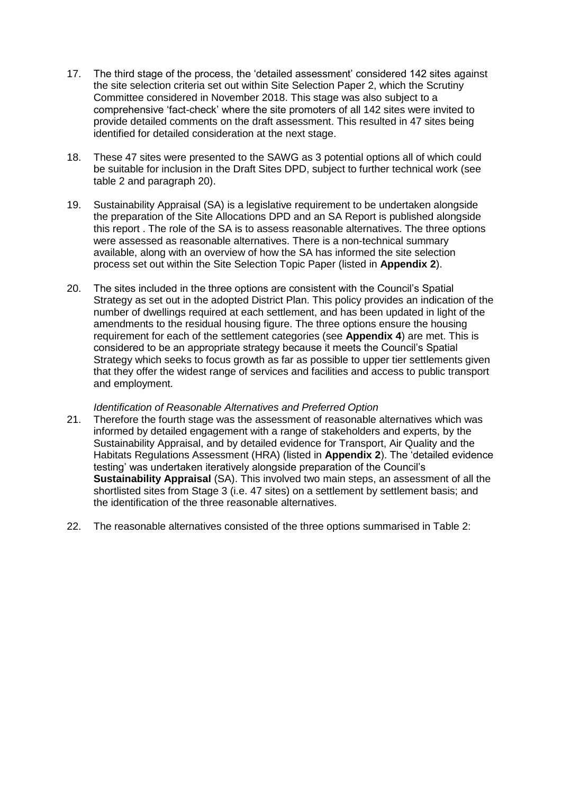- 17. The third stage of the process, the 'detailed assessment' considered 142 sites against the site selection criteria set out within Site Selection Paper 2, which the Scrutiny Committee considered in November 2018. This stage was also subject to a comprehensive 'fact-check' where the site promoters of all 142 sites were invited to provide detailed comments on the draft assessment. This resulted in 47 sites being identified for detailed consideration at the next stage.
- 18. These 47 sites were presented to the SAWG as 3 potential options all of which could be suitable for inclusion in the Draft Sites DPD, subject to further technical work (see table 2 and paragraph 20).
- 19. Sustainability Appraisal (SA) is a legislative requirement to be undertaken alongside the preparation of the Site Allocations DPD and an SA Report is published alongside this report . The role of the SA is to assess reasonable alternatives. The three options were assessed as reasonable alternatives. There is a non-technical summary available, along with an overview of how the SA has informed the site selection process set out within the Site Selection Topic Paper (listed in **Appendix 2**).
- 20. The sites included in the three options are consistent with the Council's Spatial Strategy as set out in the adopted District Plan. This policy provides an indication of the number of dwellings required at each settlement, and has been updated in light of the amendments to the residual housing figure. The three options ensure the housing requirement for each of the settlement categories (see **Appendix 4**) are met. This is considered to be an appropriate strategy because it meets the Council's Spatial Strategy which seeks to focus growth as far as possible to upper tier settlements given that they offer the widest range of services and facilities and access to public transport and employment.

## *Identification of Reasonable Alternatives and Preferred Option*

- 21. Therefore the fourth stage was the assessment of reasonable alternatives which was informed by detailed engagement with a range of stakeholders and experts, by the Sustainability Appraisal, and by detailed evidence for Transport, Air Quality and the Habitats Regulations Assessment (HRA) (listed in **Appendix 2**). The 'detailed evidence testing' was undertaken iteratively alongside preparation of the Council's **Sustainability Appraisal** (SA). This involved two main steps, an assessment of all the shortlisted sites from Stage 3 (i.e. 47 sites) on a settlement by settlement basis; and the identification of the three reasonable alternatives.
- 22. The reasonable alternatives consisted of the three options summarised in Table 2: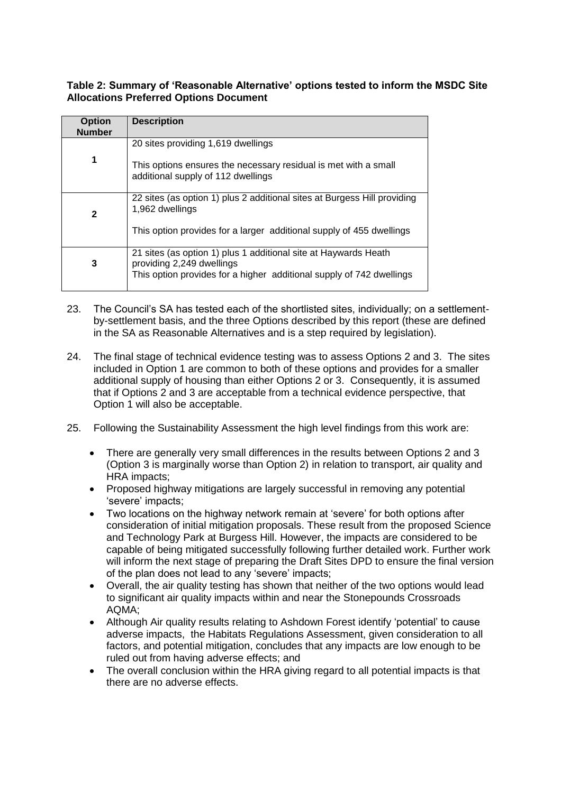## **Table 2: Summary of 'Reasonable Alternative' options tested to inform the MSDC Site Allocations Preferred Options Document**

| <b>Option</b><br><b>Number</b> | <b>Description</b>                                                                                    |
|--------------------------------|-------------------------------------------------------------------------------------------------------|
|                                | 20 sites providing 1,619 dwellings                                                                    |
| 1                              | This options ensures the necessary residual is met with a small<br>additional supply of 112 dwellings |
| $\mathbf{2}$                   | 22 sites (as option 1) plus 2 additional sites at Burgess Hill providing<br>1,962 dwellings           |
|                                | This option provides for a larger additional supply of 455 dwellings                                  |
| 3                              | 21 sites (as option 1) plus 1 additional site at Haywards Heath<br>providing 2,249 dwellings          |
|                                | This option provides for a higher additional supply of 742 dwellings                                  |

- 23. The Council's SA has tested each of the shortlisted sites, individually; on a settlementby-settlement basis, and the three Options described by this report (these are defined in the SA as Reasonable Alternatives and is a step required by legislation).
- 24. The final stage of technical evidence testing was to assess Options 2 and 3. The sites included in Option 1 are common to both of these options and provides for a smaller additional supply of housing than either Options 2 or 3. Consequently, it is assumed that if Options 2 and 3 are acceptable from a technical evidence perspective, that Option 1 will also be acceptable.
- 25. Following the Sustainability Assessment the high level findings from this work are:
	- There are generally very small differences in the results between Options 2 and 3 (Option 3 is marginally worse than Option 2) in relation to transport, air quality and HRA impacts;
	- Proposed highway mitigations are largely successful in removing any potential 'severe' impacts;
	- Two locations on the highway network remain at 'severe' for both options after consideration of initial mitigation proposals. These result from the proposed Science and Technology Park at Burgess Hill. However, the impacts are considered to be capable of being mitigated successfully following further detailed work. Further work will inform the next stage of preparing the Draft Sites DPD to ensure the final version of the plan does not lead to any 'severe' impacts;
	- Overall, the air quality testing has shown that neither of the two options would lead to significant air quality impacts within and near the Stonepounds Crossroads AQMA;
	- Although Air quality results relating to Ashdown Forest identify 'potential' to cause adverse impacts, the Habitats Regulations Assessment, given consideration to all factors, and potential mitigation, concludes that any impacts are low enough to be ruled out from having adverse effects; and
	- The overall conclusion within the HRA giving regard to all potential impacts is that there are no adverse effects.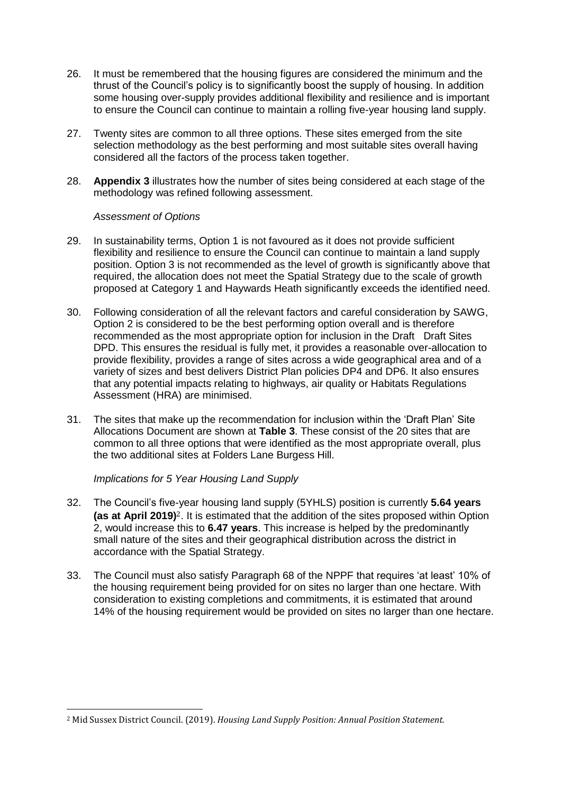- 26. It must be remembered that the housing figures are considered the minimum and the thrust of the Council's policy is to significantly boost the supply of housing. In addition some housing over-supply provides additional flexibility and resilience and is important to ensure the Council can continue to maintain a rolling five-year housing land supply.
- 27. Twenty sites are common to all three options. These sites emerged from the site selection methodology as the best performing and most suitable sites overall having considered all the factors of the process taken together.
- 28. **Appendix 3** illustrates how the number of sites being considered at each stage of the methodology was refined following assessment.

#### *Assessment of Options*

- 29. In sustainability terms, Option 1 is not favoured as it does not provide sufficient flexibility and resilience to ensure the Council can continue to maintain a land supply position. Option 3 is not recommended as the level of growth is significantly above that required, the allocation does not meet the Spatial Strategy due to the scale of growth proposed at Category 1 and Haywards Heath significantly exceeds the identified need.
- 30. Following consideration of all the relevant factors and careful consideration by SAWG, Option 2 is considered to be the best performing option overall and is therefore recommended as the most appropriate option for inclusion in the Draft Draft Sites DPD. This ensures the residual is fully met, it provides a reasonable over-allocation to provide flexibility, provides a range of sites across a wide geographical area and of a variety of sizes and best delivers District Plan policies DP4 and DP6. It also ensures that any potential impacts relating to highways, air quality or Habitats Regulations Assessment (HRA) are minimised.
- 31. The sites that make up the recommendation for inclusion within the 'Draft Plan' Site Allocations Document are shown at **Table 3**. These consist of the 20 sites that are common to all three options that were identified as the most appropriate overall, plus the two additional sites at Folders Lane Burgess Hill.

## *Implications for 5 Year Housing Land Supply*

 $\overline{a}$ 

- 32. The Council's five-year housing land supply (5YHLS) position is currently **5.64 years (as at April 2019)**2. It is estimated that the addition of the sites proposed within Option 2, would increase this to **6.47 years**. This increase is helped by the predominantly small nature of the sites and their geographical distribution across the district in accordance with the Spatial Strategy.
- 33. The Council must also satisfy Paragraph 68 of the NPPF that requires 'at least' 10% of the housing requirement being provided for on sites no larger than one hectare. With consideration to existing completions and commitments, it is estimated that around 14% of the housing requirement would be provided on sites no larger than one hectare.

<sup>2</sup> Mid Sussex District Council. (2019). *Housing Land Supply Position: Annual Position Statement.*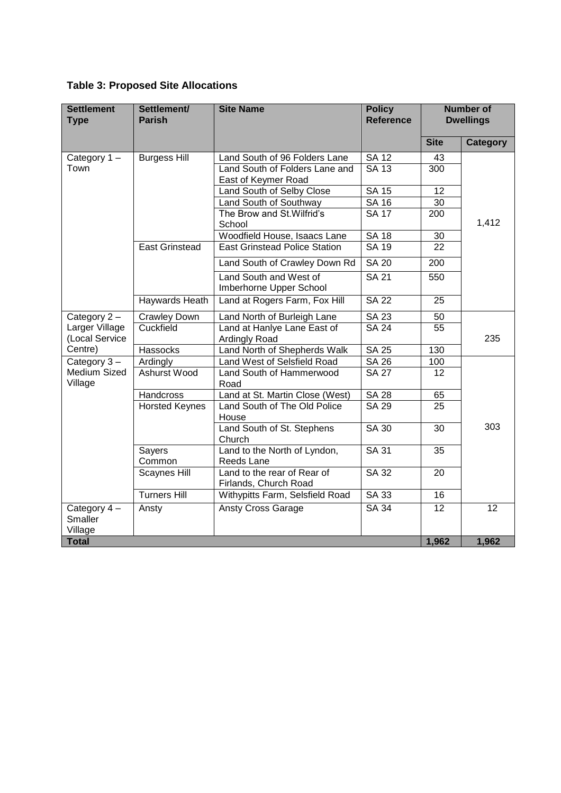|  | <b>Table 3: Proposed Site Allocations</b> |  |  |
|--|-------------------------------------------|--|--|
|--|-------------------------------------------|--|--|

| <b>Settlement</b><br><b>Type</b>         | Settlement/<br><b>Parish</b> | <b>Site Name</b>                                      | <b>Policy</b><br><b>Reference</b> | <b>Number of</b><br><b>Dwellings</b> |                 |
|------------------------------------------|------------------------------|-------------------------------------------------------|-----------------------------------|--------------------------------------|-----------------|
|                                          |                              |                                                       |                                   | <b>Site</b>                          | <b>Category</b> |
| Category $1 -$                           | <b>Burgess Hill</b>          | Land South of 96 Folders Lane                         | <b>SA 12</b>                      | 43                                   |                 |
| Town                                     |                              | Land South of Folders Lane and<br>East of Keymer Road | <b>SA 13</b>                      | 300                                  |                 |
|                                          |                              | Land South of Selby Close                             | <b>SA 15</b>                      | 12                                   |                 |
|                                          |                              | Land South of Southway                                | <b>SA 16</b>                      | 30                                   |                 |
|                                          |                              | The Brow and St. Wilfrid's<br>School                  | <b>SA 17</b>                      | 200                                  | 1,412           |
|                                          |                              | Woodfield House, Isaacs Lane                          | <b>SA 18</b>                      | 30                                   |                 |
|                                          | <b>East Grinstead</b>        | <b>East Grinstead Police Station</b>                  | $\overline{SA19}$                 | 22                                   |                 |
|                                          |                              | Land South of Crawley Down Rd                         | <b>SA 20</b>                      | 200                                  |                 |
|                                          |                              | Land South and West of<br>Imberhorne Upper School     | <b>SA 21</b>                      | 550                                  |                 |
|                                          | Haywards Heath               | Land at Rogers Farm, Fox Hill                         | <b>SA 22</b>                      | 25                                   |                 |
| Category 2-                              | <b>Crawley Down</b>          | Land North of Burleigh Lane                           | <b>SA 23</b>                      | 50                                   |                 |
| Larger Village<br>(Local Service         | Cuckfield                    | Land at Hanlye Lane East of<br><b>Ardingly Road</b>   | <b>SA 24</b>                      | 55                                   | 235             |
| Centre)                                  | <b>Hassocks</b>              | Land North of Shepherds Walk                          | <b>SA 25</b>                      | 130                                  |                 |
| Category $3 -$                           | Ardingly                     | Land West of Selsfield Road                           | $\overline{SA}$ 26                | 100                                  |                 |
| <b>Medium Sized</b><br>Village           | <b>Ashurst Wood</b>          | Land South of Hammerwood<br>Road                      | <b>SA 27</b>                      | 12                                   |                 |
|                                          | <b>Handcross</b>             | Land at St. Martin Close (West)                       | <b>SA 28</b>                      | 65                                   |                 |
|                                          | <b>Horsted Keynes</b>        | Land South of The Old Police<br>House                 | <b>SA 29</b>                      | 25                                   |                 |
|                                          |                              | Land South of St. Stephens<br>Church                  | <b>SA 30</b>                      | 30                                   | 303             |
|                                          | Sayers<br>Common             | Land to the North of Lyndon,<br>Reeds Lane            | <b>SA 31</b>                      | 35                                   |                 |
|                                          | Scaynes Hill                 | Land to the rear of Rear of<br>Firlands, Church Road  | <b>SA 32</b>                      | 20                                   |                 |
|                                          | <b>Turners Hill</b>          | Withypitts Farm, Selsfield Road                       | SA 33                             | 16                                   |                 |
| Category 4-<br><b>Smaller</b><br>Village | Ansty                        | <b>Ansty Cross Garage</b>                             | <b>SA 34</b>                      | $\overline{12}$                      | 12              |
| <b>Total</b>                             |                              |                                                       |                                   | 1,962                                | 1,962           |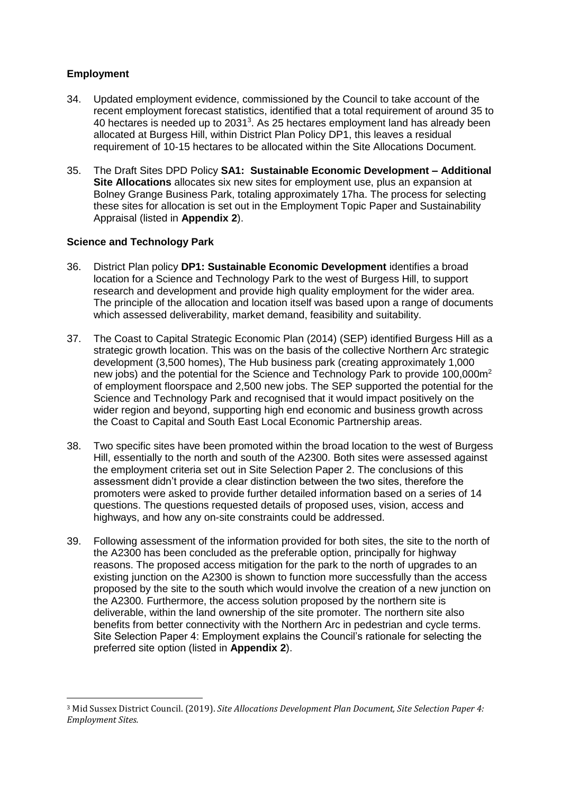## **Employment**

- 34. Updated employment evidence, commissioned by the Council to take account of the recent employment forecast statistics, identified that a total requirement of around 35 to 40 hectares is needed up to 2031<sup>3</sup>. As 25 hectares employment land has already been allocated at Burgess Hill, within District Plan Policy DP1, this leaves a residual requirement of 10-15 hectares to be allocated within the Site Allocations Document.
- 35. The Draft Sites DPD Policy **SA1: Sustainable Economic Development – Additional Site Allocations** allocates six new sites for employment use, plus an expansion at Bolney Grange Business Park, totaling approximately 17ha. The process for selecting these sites for allocation is set out in the Employment Topic Paper and Sustainability Appraisal (listed in **Appendix 2**).

## **Science and Technology Park**

- 36. District Plan policy **DP1: Sustainable Economic Development** identifies a broad location for a Science and Technology Park to the west of Burgess Hill, to support research and development and provide high quality employment for the wider area. The principle of the allocation and location itself was based upon a range of documents which assessed deliverability, market demand, feasibility and suitability.
- 37. The Coast to Capital Strategic Economic Plan (2014) (SEP) identified Burgess Hill as a strategic growth location. This was on the basis of the collective Northern Arc strategic development (3,500 homes), The Hub business park (creating approximately 1,000 new jobs) and the potential for the Science and Technology Park to provide 100,000m<sup>2</sup> of employment floorspace and 2,500 new jobs. The SEP supported the potential for the Science and Technology Park and recognised that it would impact positively on the wider region and beyond, supporting high end economic and business growth across the Coast to Capital and South East Local Economic Partnership areas.
- 38. Two specific sites have been promoted within the broad location to the west of Burgess Hill, essentially to the north and south of the A2300. Both sites were assessed against the employment criteria set out in Site Selection Paper 2. The conclusions of this assessment didn't provide a clear distinction between the two sites, therefore the promoters were asked to provide further detailed information based on a series of 14 questions. The questions requested details of proposed uses, vision, access and highways, and how any on-site constraints could be addressed.
- 39. Following assessment of the information provided for both sites, the site to the north of the A2300 has been concluded as the preferable option, principally for highway reasons. The proposed access mitigation for the park to the north of upgrades to an existing junction on the A2300 is shown to function more successfully than the access proposed by the site to the south which would involve the creation of a new junction on the A2300. Furthermore, the access solution proposed by the northern site is deliverable, within the land ownership of the site promoter. The northern site also benefits from better connectivity with the Northern Arc in pedestrian and cycle terms. Site Selection Paper 4: Employment explains the Council's rationale for selecting the preferred site option (listed in **Appendix 2**).

 $\overline{a}$ <sup>3</sup> Mid Sussex District Council. (2019). *Site Allocations Development Plan Document, Site Selection Paper 4: Employment Sites.*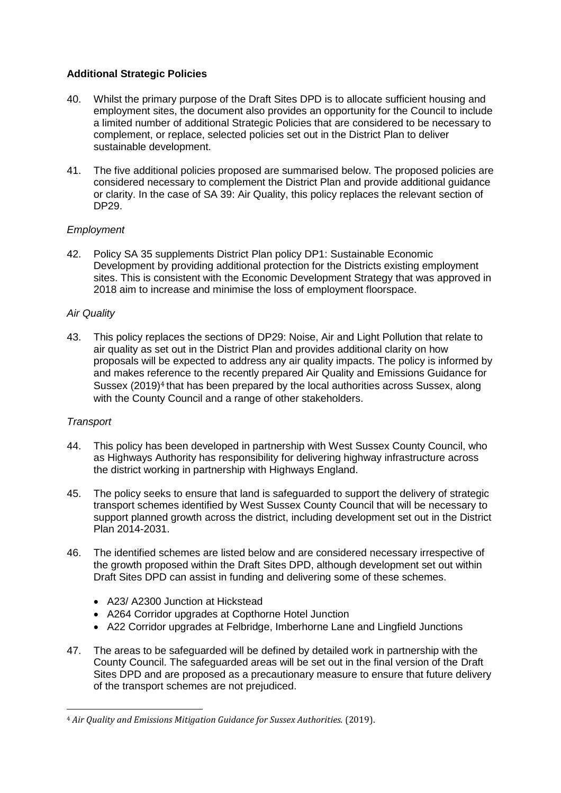## **Additional Strategic Policies**

- 40. Whilst the primary purpose of the Draft Sites DPD is to allocate sufficient housing and employment sites, the document also provides an opportunity for the Council to include a limited number of additional Strategic Policies that are considered to be necessary to complement, or replace, selected policies set out in the District Plan to deliver sustainable development.
- 41. The five additional policies proposed are summarised below. The proposed policies are considered necessary to complement the District Plan and provide additional guidance or clarity. In the case of SA 39: Air Quality, this policy replaces the relevant section of DP29.

## *Employment*

42. Policy SA 35 supplements District Plan policy DP1: Sustainable Economic Development by providing additional protection for the Districts existing employment sites. This is consistent with the Economic Development Strategy that was approved in 2018 aim to increase and minimise the loss of employment floorspace.

## *Air Quality*

43. This policy replaces the sections of DP29: Noise, Air and Light Pollution that relate to air quality as set out in the District Plan and provides additional clarity on how proposals will be expected to address any air quality impacts. The policy is informed by and makes reference to the recently prepared Air Quality and Emissions Guidance for Sussex (2019)<sup>4</sup> that has been prepared by the local authorities across Sussex, along with the County Council and a range of other stakeholders.

## *Transport*

 $\overline{a}$ 

- 44. This policy has been developed in partnership with West Sussex County Council, who as Highways Authority has responsibility for delivering highway infrastructure across the district working in partnership with Highways England.
- 45. The policy seeks to ensure that land is safeguarded to support the delivery of strategic transport schemes identified by West Sussex County Council that will be necessary to support planned growth across the district, including development set out in the District Plan 2014-2031.
- 46. The identified schemes are listed below and are considered necessary irrespective of the growth proposed within the Draft Sites DPD, although development set out within Draft Sites DPD can assist in funding and delivering some of these schemes.
	- A23/ A2300 Junction at Hickstead
	- A264 Corridor upgrades at Copthorne Hotel Junction
	- A22 Corridor upgrades at Felbridge, Imberhorne Lane and Lingfield Junctions
- 47. The areas to be safeguarded will be defined by detailed work in partnership with the County Council. The safeguarded areas will be set out in the final version of the Draft Sites DPD and are proposed as a precautionary measure to ensure that future delivery of the transport schemes are not prejudiced.

<sup>4</sup> *Air Quality and Emissions Mitigation Guidance for Sussex Authorities.* (2019).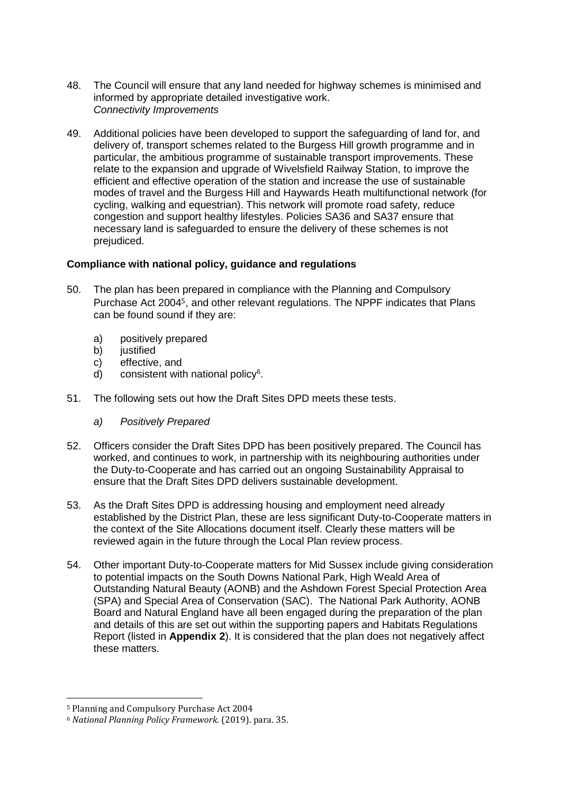- 48. The Council will ensure that any land needed for highway schemes is minimised and informed by appropriate detailed investigative work. *Connectivity Improvements*
- 49. Additional policies have been developed to support the safeguarding of land for, and delivery of, transport schemes related to the Burgess Hill growth programme and in particular, the ambitious programme of sustainable transport improvements. These relate to the expansion and upgrade of Wivelsfield Railway Station, to improve the efficient and effective operation of the station and increase the use of sustainable modes of travel and the Burgess Hill and Haywards Heath multifunctional network (for cycling, walking and equestrian). This network will promote road safety, reduce congestion and support healthy lifestyles. Policies SA36 and SA37 ensure that necessary land is safeguarded to ensure the delivery of these schemes is not prejudiced.

## **Compliance with national policy, guidance and regulations**

- 50. The plan has been prepared in compliance with the Planning and Compulsory Purchase Act 20045, and other relevant regulations. The NPPF indicates that Plans can be found sound if they are:
	- a) positively prepared<br>b) iustified
	- *iustified*
	- c) effective, and
	- d) consistent with national policy<sup>6</sup>.
- 51. The following sets out how the Draft Sites DPD meets these tests.
	- *a) Positively Prepared*
- 52. Officers consider the Draft Sites DPD has been positively prepared. The Council has worked, and continues to work, in partnership with its neighbouring authorities under the Duty-to-Cooperate and has carried out an ongoing Sustainability Appraisal to ensure that the Draft Sites DPD delivers sustainable development.
- 53. As the Draft Sites DPD is addressing housing and employment need already established by the District Plan, these are less significant Duty-to-Cooperate matters in the context of the Site Allocations document itself. Clearly these matters will be reviewed again in the future through the Local Plan review process.
- 54. Other important Duty-to-Cooperate matters for Mid Sussex include giving consideration to potential impacts on the South Downs National Park, High Weald Area of Outstanding Natural Beauty (AONB) and the Ashdown Forest Special Protection Area (SPA) and Special Area of Conservation (SAC). The National Park Authority, AONB Board and Natural England have all been engaged during the preparation of the plan and details of this are set out within the supporting papers and Habitats Regulations Report (listed in **Appendix 2**). It is considered that the plan does not negatively affect these matters.

 $\overline{a}$ <sup>5</sup> Planning and Compulsory Purchase Act 2004

<sup>6</sup> *National Planning Policy Framework.* (2019). para. 35.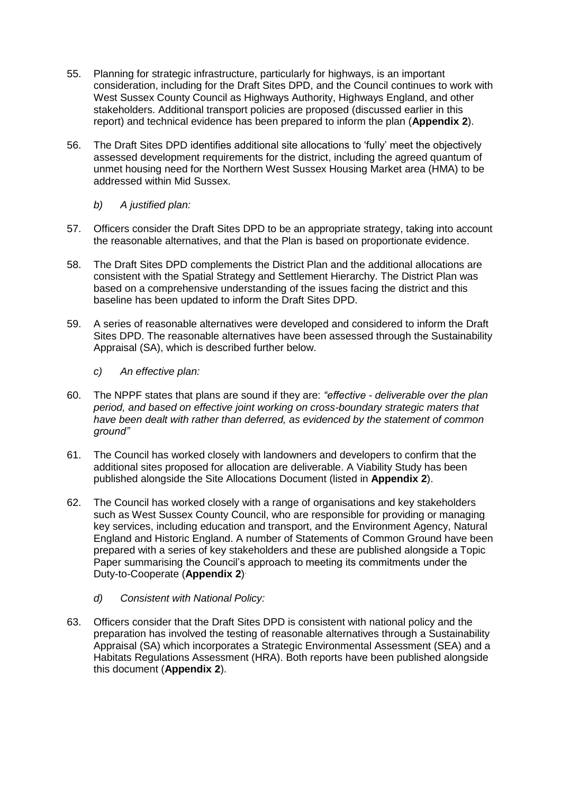- 55. Planning for strategic infrastructure, particularly for highways, is an important consideration, including for the Draft Sites DPD, and the Council continues to work with West Sussex County Council as Highways Authority, Highways England, and other stakeholders. Additional transport policies are proposed (discussed earlier in this report) and technical evidence has been prepared to inform the plan (**Appendix 2**).
- 56. The Draft Sites DPD identifies additional site allocations to 'fully' meet the objectively assessed development requirements for the district, including the agreed quantum of unmet housing need for the Northern West Sussex Housing Market area (HMA) to be addressed within Mid Sussex.
	- *b) A justified plan:*
- 57. Officers consider the Draft Sites DPD to be an appropriate strategy, taking into account the reasonable alternatives, and that the Plan is based on proportionate evidence.
- 58. The Draft Sites DPD complements the District Plan and the additional allocations are consistent with the Spatial Strategy and Settlement Hierarchy. The District Plan was based on a comprehensive understanding of the issues facing the district and this baseline has been updated to inform the Draft Sites DPD.
- 59. A series of reasonable alternatives were developed and considered to inform the Draft Sites DPD. The reasonable alternatives have been assessed through the Sustainability Appraisal (SA), which is described further below.
	- *c) An effective plan:*
- 60. The NPPF states that plans are sound if they are: *"effective - deliverable over the plan period, and based on effective joint working on cross-boundary strategic maters that have been dealt with rather than deferred, as evidenced by the statement of common ground"*
- 61. The Council has worked closely with landowners and developers to confirm that the additional sites proposed for allocation are deliverable. A Viability Study has been published alongside the Site Allocations Document (listed in **Appendix 2**).
- 62. The Council has worked closely with a range of organisations and key stakeholders such as West Sussex County Council, who are responsible for providing or managing key services, including education and transport, and the Environment Agency, Natural England and Historic England. A number of Statements of Common Ground have been prepared with a series of key stakeholders and these are published alongside a Topic Paper summarising the Council's approach to meeting its commitments under the Duty-to-Cooperate (**Appendix 2**) .
	- *d) Consistent with National Policy:*
- 63. Officers consider that the Draft Sites DPD is consistent with national policy and the preparation has involved the testing of reasonable alternatives through a Sustainability Appraisal (SA) which incorporates a Strategic Environmental Assessment (SEA) and a Habitats Regulations Assessment (HRA). Both reports have been published alongside this document (**Appendix 2**).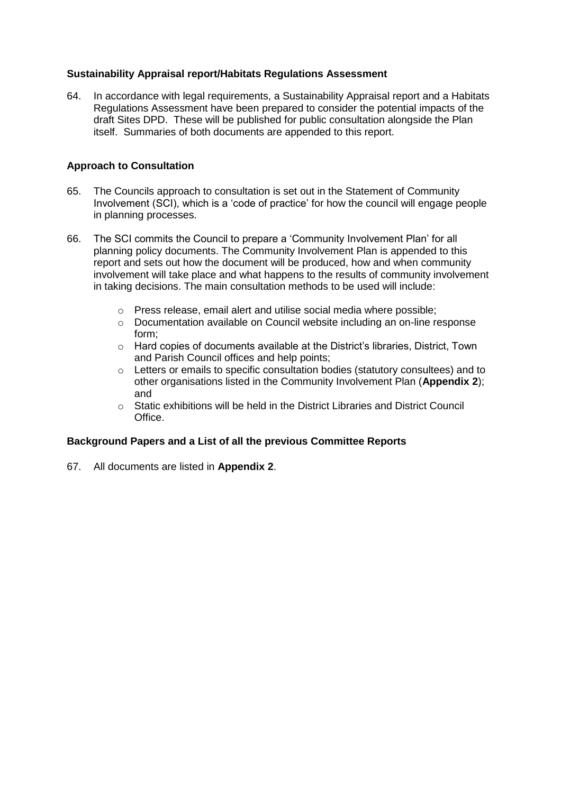## **Sustainability Appraisal report/Habitats Regulations Assessment**

64. In accordance with legal requirements, a Sustainability Appraisal report and a Habitats Regulations Assessment have been prepared to consider the potential impacts of the draft Sites DPD. These will be published for public consultation alongside the Plan itself. Summaries of both documents are appended to this report.

## **Approach to Consultation**

- 65. The Councils approach to consultation is set out in the Statement of Community Involvement (SCI), which is a 'code of practice' for how the council will engage people in planning processes.
- 66. The SCI commits the Council to prepare a 'Community Involvement Plan' for all planning policy documents. The Community Involvement Plan is appended to this report and sets out how the document will be produced, how and when community involvement will take place and what happens to the results of community involvement in taking decisions. The main consultation methods to be used will include:
	- o Press release, email alert and utilise social media where possible;
	- o Documentation available on Council website including an on-line response form;
	- $\circ$  Hard copies of documents available at the District's libraries, District, Town and Parish Council offices and help points;
	- o Letters or emails to specific consultation bodies (statutory consultees) and to other organisations listed in the Community Involvement Plan (**Appendix 2**); and
	- $\circ$  Static exhibitions will be held in the District Libraries and District Council Office.

## **Background Papers and a List of all the previous Committee Reports**

67. All documents are listed in **Appendix 2**.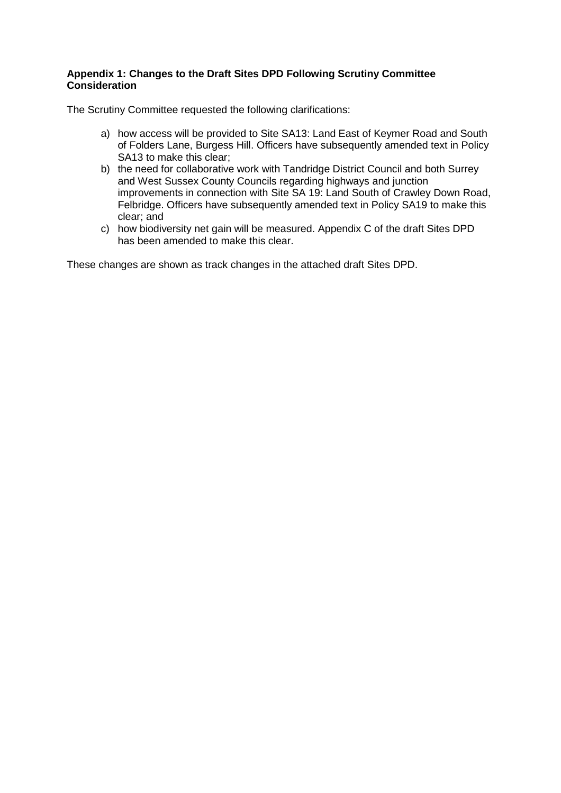## **Appendix 1: Changes to the Draft Sites DPD Following Scrutiny Committee Consideration**

The Scrutiny Committee requested the following clarifications:

- a) how access will be provided to Site SA13: Land East of Keymer Road and South of Folders Lane, Burgess Hill. Officers have subsequently amended text in Policy SA13 to make this clear;
- b) the need for collaborative work with Tandridge District Council and both Surrey and West Sussex County Councils regarding highways and junction improvements in connection with Site SA 19: Land South of Crawley Down Road, Felbridge. Officers have subsequently amended text in Policy SA19 to make this clear; and
- c) how biodiversity net gain will be measured. Appendix C of the draft Sites DPD has been amended to make this clear.

These changes are shown as track changes in the attached draft Sites DPD.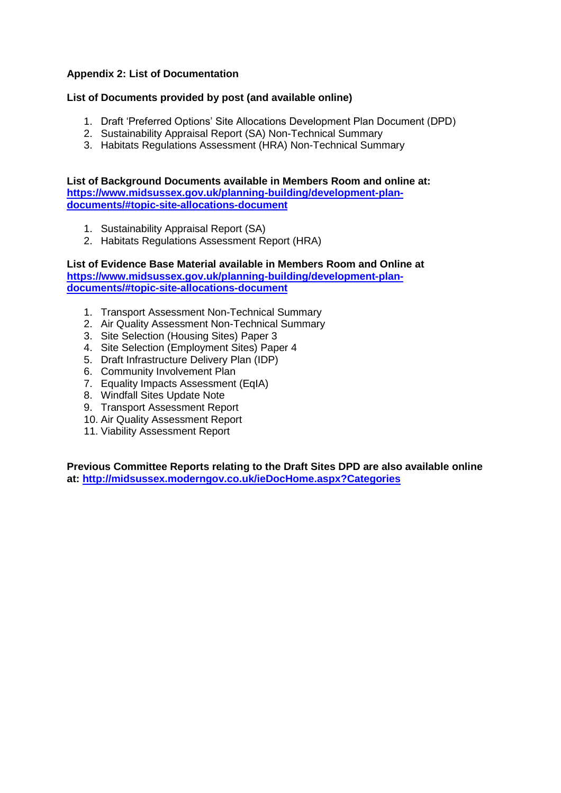## **Appendix 2: List of Documentation**

## **List of Documents provided by post (and available online)**

- 1. Draft 'Preferred Options' Site Allocations Development Plan Document (DPD)
- 2. Sustainability Appraisal Report (SA) Non-Technical Summary
- 3. Habitats Regulations Assessment (HRA) Non-Technical Summary

**List of Background Documents available in Members Room and online at: [https://www.midsussex.gov.uk/planning-building/development-plan](https://www.midsussex.gov.uk/planning-building/development-plan-documents/#topic-site-allocations-document)[documents/#topic-site-allocations-document](https://www.midsussex.gov.uk/planning-building/development-plan-documents/#topic-site-allocations-document)**

- 1. Sustainability Appraisal Report (SA)
- 2. Habitats Regulations Assessment Report (HRA)

**List of Evidence Base Material available in Members Room and Online at [https://www.midsussex.gov.uk/planning-building/development-plan](https://www.midsussex.gov.uk/planning-building/development-plan-documents/#topic-site-allocations-document)[documents/#topic-site-allocations-document](https://www.midsussex.gov.uk/planning-building/development-plan-documents/#topic-site-allocations-document)**

- 1. Transport Assessment Non-Technical Summary
- 2. Air Quality Assessment Non-Technical Summary
- 3. Site Selection (Housing Sites) Paper 3
- 4. Site Selection (Employment Sites) Paper 4
- 5. Draft Infrastructure Delivery Plan (IDP)
- 6. Community Involvement Plan
- 7. Equality Impacts Assessment (EqIA)
- 8. Windfall Sites Update Note
- 9. Transport Assessment Report
- 10. Air Quality Assessment Report
- 11. Viability Assessment Report

**Previous Committee Reports relating to the Draft Sites DPD are also available online at:<http://midsussex.moderngov.co.uk/ieDocHome.aspx?Categories>**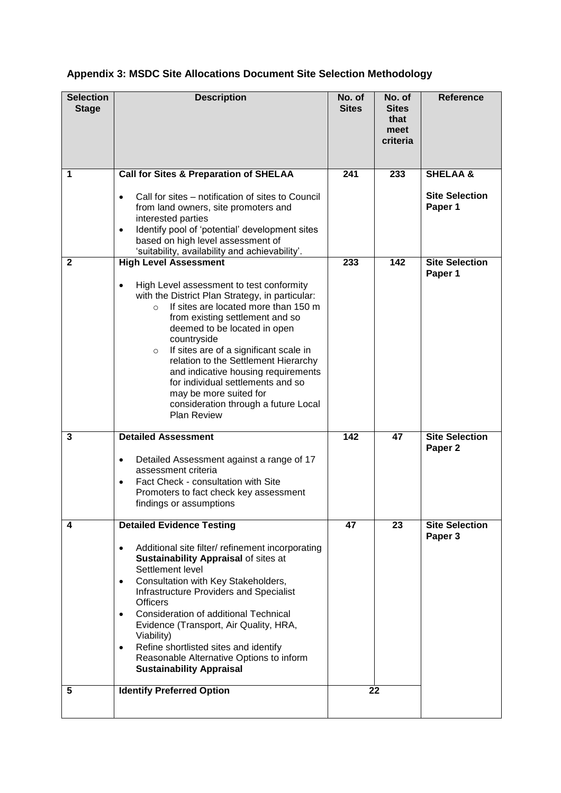| <b>Selection</b><br><b>Stage</b> | <b>Description</b>                                                                                                                                                                                                                                                                                                                                                                                                                                                                                             | No. of<br>No. of<br><b>Sites</b><br><b>Sites</b> |                          | <b>Reference</b>                 |  |
|----------------------------------|----------------------------------------------------------------------------------------------------------------------------------------------------------------------------------------------------------------------------------------------------------------------------------------------------------------------------------------------------------------------------------------------------------------------------------------------------------------------------------------------------------------|--------------------------------------------------|--------------------------|----------------------------------|--|
|                                  |                                                                                                                                                                                                                                                                                                                                                                                                                                                                                                                |                                                  | that<br>meet<br>criteria |                                  |  |
| 1                                | <b>Call for Sites &amp; Preparation of SHELAA</b>                                                                                                                                                                                                                                                                                                                                                                                                                                                              | 241                                              | 233                      | <b>SHELAA &amp;</b>              |  |
|                                  | Call for sites – notification of sites to Council<br>$\bullet$<br>from land owners, site promoters and<br>interested parties<br>Identify pool of 'potential' development sites<br>$\bullet$<br>based on high level assessment of<br>'suitability, availability and achievability'.                                                                                                                                                                                                                             |                                                  |                          | <b>Site Selection</b><br>Paper 1 |  |
| $\mathbf{2}$                     | <b>High Level Assessment</b>                                                                                                                                                                                                                                                                                                                                                                                                                                                                                   | 233                                              | 142                      | <b>Site Selection</b>            |  |
|                                  | High Level assessment to test conformity<br>$\bullet$<br>with the District Plan Strategy, in particular:<br>If sites are located more than 150 m<br>$\circ$<br>from existing settlement and so<br>deemed to be located in open<br>countryside<br>If sites are of a significant scale in<br>$\circ$<br>relation to the Settlement Hierarchy<br>and indicative housing requirements<br>for individual settlements and so<br>may be more suited for<br>consideration through a future Local<br><b>Plan Review</b> |                                                  |                          | Paper 1                          |  |
| 3                                | <b>Detailed Assessment</b>                                                                                                                                                                                                                                                                                                                                                                                                                                                                                     | 142                                              | 47                       | <b>Site Selection</b>            |  |
|                                  | Detailed Assessment against a range of 17<br>$\bullet$<br>assessment criteria<br>Fact Check - consultation with Site<br>$\bullet$<br>Promoters to fact check key assessment<br>findings or assumptions                                                                                                                                                                                                                                                                                                         |                                                  |                          | Paper <sub>2</sub>               |  |
| 4                                | <b>Detailed Evidence Testing</b>                                                                                                                                                                                                                                                                                                                                                                                                                                                                               | 47                                               | 23                       | <b>Site Selection</b>            |  |
|                                  | Additional site filter/ refinement incorporating<br>$\bullet$<br><b>Sustainability Appraisal of sites at</b><br>Settlement level<br>Consultation with Key Stakeholders,<br>$\bullet$<br><b>Infrastructure Providers and Specialist</b><br><b>Officers</b><br>Consideration of additional Technical<br>$\bullet$<br>Evidence (Transport, Air Quality, HRA,<br>Viability)<br>Refine shortlisted sites and identify<br>Reasonable Alternative Options to inform<br><b>Sustainability Appraisal</b>                |                                                  |                          | Paper 3                          |  |
| 5                                | <b>Identify Preferred Option</b>                                                                                                                                                                                                                                                                                                                                                                                                                                                                               | 22                                               |                          |                                  |  |

# **Appendix 3: MSDC Site Allocations Document Site Selection Methodology**